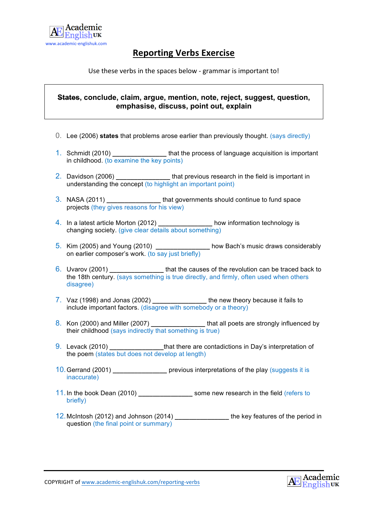

## **Reporting Verbs Exercise**

Use these verbs in the spaces below - grammar is important to!

## **States, conclude, claim, argue, mention, note, reject, suggest, question, emphasise, discuss, point out, explain**

- 0. Lee (2006) **states** that problems arose earlier than previously thought. (says directly)
- 1. Schmidt (2010) **\_\_\_\_\_\_\_\_\_\_\_\_\_\_\_** that the process of language acquisition is important in childhood. (to examine the key points)
- 2. Davidson (2006) **\_\_\_\_\_\_\_\_\_\_\_\_\_\_\_** that previous research in the field is important in understanding the concept (to highlight an important point)
- 3. NASA (2011) **\_\_\_\_\_\_\_\_\_\_\_\_\_\_\_** that governments should continue to fund space projects (they gives reasons for his view)
- 4. In a latest article Morton (2012) **\_\_\_\_\_\_\_\_\_\_\_\_\_\_\_** how information technology is changing society. (give clear details about something)
- 5. Kim (2005) and Young (2010) **\_\_\_\_\_\_\_\_\_\_\_\_\_\_\_** how Bach's music draws considerably on earlier composer's work. (to say just briefly)
- 6. Uvarov (2001) **\_\_\_\_\_\_\_\_\_\_\_\_\_\_\_** that the causes of the revolution can be traced back to the 18th century. (says something is true directly, and firmly, often used when others disagree)
- 7. Vaz (1998) and Jonas (2002) **\_\_\_\_\_\_\_\_\_\_\_\_\_\_\_** the new theory because it fails to include important factors. (disagree with somebody or a theory)
- 8. Kon (2000) and Miller (2007) **\_\_\_\_\_\_\_\_\_\_\_\_\_\_\_** that all poets are strongly influenced by their childhood (says indirectly that something is true)
- 9. Levack (2010) **that there are contadictions in Day's interpretation of** the poem (states but does not develop at length)
- 10.Gerrand (2001) **\_\_\_\_\_\_\_\_\_\_\_\_\_\_\_** previous interpretations of the play (suggests it is inaccurate)
- 11.In the book Dean (2010) **\_\_\_\_\_\_\_\_\_\_\_\_\_\_\_** some new research in the field (refers to briefly)
- 12.McIntosh (2012) and Johnson (2014) **\_\_\_\_\_\_\_\_\_\_\_\_\_\_\_** the key features of the period in question (the final point or summary)